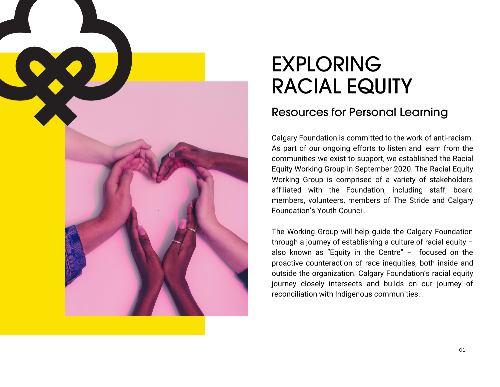

# EXPLORING RACIAL EQUITY

### Resources for Personal Learning

Calgary Foundation is committed to the work of anti-racism. As part of our ongoing efforts to listen and learn from the communities we exist to support, we established the Racial Equity Working Group in September 2020. The Racial Equity Working Group is comprised of a variety of stakeholders affiliated with the Foundation, including staff, board members, volunteers, members of The Stride and Calgary Foundation's Youth Council.

The Working Group will help guide the Calgary Foundation through a journey of establishing a culture of racial equity – also known as "Equity in the Centre" – focused on the proactive counteraction of race inequities, both inside and outside the organization. Calgary Foundation's racial equity journey closely intersects and builds on our journey of reconciliation with Indigenous communities.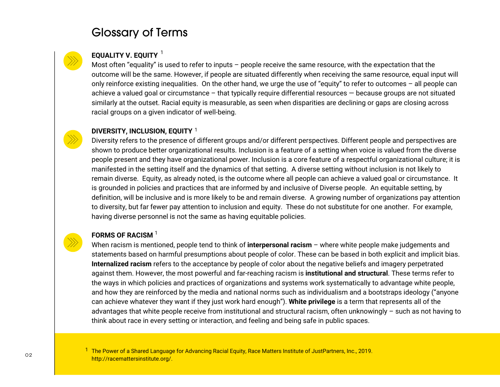### Glossary of Terms

#### **EQUALITY V. EQUITY** 1

Most often "equality" is used to refer to inputs – people receive the same resource, with the expectation that the outcome will be the same. However, if people are situated differently when receiving the same resource, equal input will only reinforce existing inequalities. On the other hand, we urge the use of "equity" to refer to outcomes – all people can achieve a valued goal or circumstance – that typically require differential resources — because groups are not situated similarly at the outset. Racial equity is measurable, as seen when disparities are declining or gaps are closing across racial groups on a given indicator of well-being.

#### **DIVERSITY, INCLUSION, EQUITY** 1

Diversity refers to the presence of different groups and/or different perspectives. Different people and perspectives are shown to produce better organizational results. Inclusion is a feature of a setting when voice is valued from the diverse people present and they have organizational power. Inclusion is a core feature of a respectful organizational culture; it is manifested in the setting itself and the dynamics of that setting. A diverse setting without inclusion is not likely to remain diverse. Equity, as already noted, is the outcome where all people can achieve a valued goal or circumstance. It is grounded in policies and practices that are informed by and inclusive of Diverse people. An equitable setting, by definition, will be inclusive and is more likely to be and remain diverse. A growing number of organizations pay attention to diversity, but far fewer pay attention to inclusion and equity. These do not substitute for one another. For example, having diverse personnel is not the same as having equitable policies.

#### **FORMS OF RACISM** 1

When racism is mentioned, people tend to think of **interpersonal racism** – where white people make judgements and statements based on harmful presumptions about people of color. These can be based in both explicit and implicit bias. **Internalized racism** refers to the acceptance by people of color about the negative beliefs and imagery perpetrated against them. However, the most powerful and far-reaching racism is **institutional and structural**. These terms refer to the ways in which policies and practices of organizations and systems work systematically to advantage white people, and how they are reinforced by the media and national norms such as individualism and a bootstraps ideology ("anyone can achieve whatever they want if they just work hard enough"). **White privilege** is a term that represents all of the advantages that white people receive from institutional and structural racism, often unknowingly – such as not having to think about race in every setting or interaction, and feeling and being safe in public spaces.

<sup>1</sup> The Power of a Shared Language for Advancing Racial Equity, Race Matters Institute of JustPartners, Inc., 2019. http://racemattersinstitute.org/.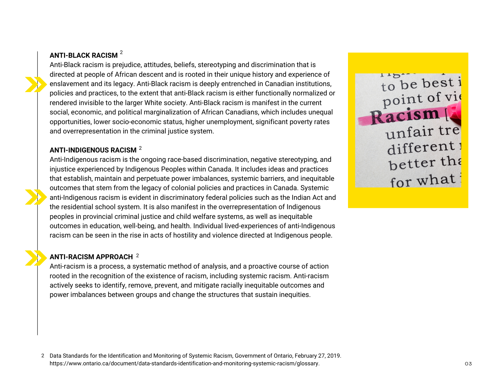#### **ANTI-BLACK RACISM** 2

Anti-Black racism is prejudice, attitudes, beliefs, stereotyping and discrimination that is directed at people of African descent and is rooted in their unique history and experience of enslavement and its legacy. Anti-Black racism is deeply entrenched in Canadian institutions, policies and practices, to the extent that anti-Black racism is either functionally normalized or rendered invisible to the larger White society. Anti-Black racism is manifest in the current social, economic, and political marginalization of African Canadians, which includes unequal opportunities, lower socio-economic status, higher unemployment, significant poverty rates and overrepresentation in the criminal justice system.

#### **ANTI-INDIGENOUS RACISM** 2

Anti-Indigenous racism is the ongoing race-based discrimination, negative stereotyping, and injustice experienced by Indigenous Peoples within Canada. It includes ideas and practices that establish, maintain and perpetuate power imbalances, systemic barriers, and inequitable outcomes that stem from the legacy of colonial policies and practices in Canada. Systemic anti-Indigenous racism is evident in discriminatory federal policies such as the Indian Act and the residential school system. It is also manifest in the overrepresentation of Indigenous peoples in provincial criminal justice and child welfare systems, as well as inequitable outcomes in education, well-being, and health. Individual lived-experiences of anti-Indigenous racism can be seen in the rise in acts of hostility and violence directed at Indigenous people.

#### **ANTI-RACISM APPROACH** 2

Anti-racism is a process, a systematic method of analysis, and a proactive course of action rooted in the recognition of the existence of racism, including systemic racism. Anti-racism actively seeks to identify, remove, prevent, and mitigate racially inequitable outcomes and power imbalances between groups and change the structures that sustain inequities.



Data Standards for the Identification and Monitoring of Systemic Racism, Government of Ontario, February 27, 2019. 2https://www.ontario.ca/document/data-standards-identification-and-monitoring-systemic-racism/glossary.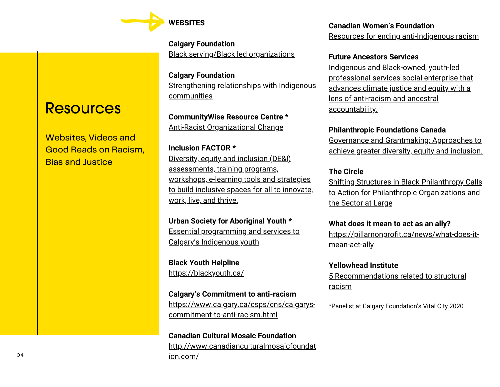

**Calgary Foundation** [Black serving/Black led organizations](https://calgaryfoundation.org/black-led-black-serving-organizations-in-our-community/)

**Calgary Foundation** [Strengthening relationships with Indigenous](https://calgaryfoundation.org/about-us/vital-priorities/strengthening-relationships-with-indigenous-communities/) communities

**CommunityWise Resource Centre \*** [Anti-Racist Organizational Change](http://communitywise.net/aroc/)

**Inclusion FACTOR \*** Diversity, equity and inclusion (DE&I) assessments, training programs, workshops, e-learning tools and strategies [to build inclusive spaces for all to innovate,](http://www.inclusionfactor.ca/) work, live, and thrive.

**Urban Society for Aboriginal Youth \*** [Essential programming and services to](https://usay.ca/) Calgary's Indigenous youth

**Black Youth Helpline** <https://blackyouth.ca/>

**Calgary's Commitment to anti-racism** [https://www.calgary.ca/csps/cns/calgarys](https://www.calgary.ca/csps/cns/calgarys-commitment-to-anti-racism.html)commitment-to-anti-racism.html

**Canadian Cultural Mosaic Foundation** [http://www.canadianculturalmosaicfoundat](http://www.canadianculturalmosaicfoundation.com/) ion.com/

**Canadian Women's Foundation** [Resources for ending anti-Indigenous racism](https://canadianwomen.org/blog/ending-anti-indigenous-racism/)

#### **Future Ancestors Services**

Indigenous and Black-owned, youth-led [professional services social enterprise that](https://www.futureancestors.ca/) advances climate justice and equity with a lens of anti-racism and ancestral accountability.

**P[hilanthropic Foundations Canada](https://pfc.ca/wp-content/uploads/2019/12/pfc_dei_toolkit_en_2019.pdf)**

Governance and Grantmaking: Approaches to [achieve greater diversity, equity and inclusion.](https://pfc.ca/wp-content/uploads/2019/12/pfc_dei_toolkit_en_2019.pdf)

#### **The Circle**

[Shifting Structures in Black Philanthropy Calls](https://www.the-circle.ca/uploads/1/2/5/6/125694502/rejpfs_-_ssbp_-_calls_to_action.pdf) to Action for Philanthropic Organizations and the Sector at Large

**What does it mean to act as an ally?**

[https://pillarnonprofit.ca/news/what-does-it](https://pillarnonprofit.ca/news/what-does-it-mean-act-ally)mean-act-ally

**Yellowhead Institute**

[5 Recommendations related to structural](https://yellowheadinstitute.org/resources/recommendations-related-to-structural-racism/) racism

\*Panelist at Calgary Foundation's Vital City 2020

### **Resources**

Websites, Videos and Good Reads on Racism, **Bias and Justice**